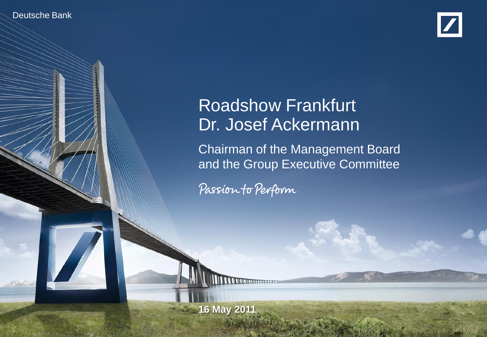Deutsche Bank Investor Relations



# Roadshow Frankfurt Dr. Josef Ackermann

Chairman of the Management Board and the Group Executive Committee

financial transparency.

Passion to Perform

Roadshow Frankfurt, 16 May 2011 **16 May 2011**

Dr. Josef Ackermann, CEO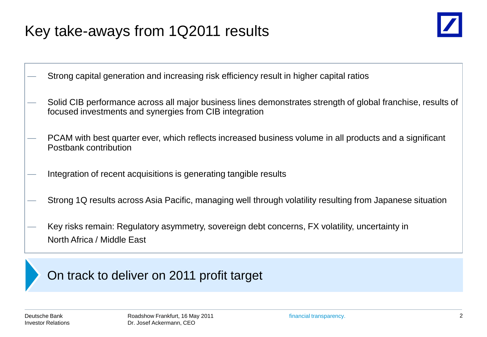# Key take-aways from 1Q2011 results



— Strong capital generation and increasing risk efficiency result in higher capital ratios

- Solid CIB performance across all major business lines demonstrates strength of global franchise, results of focused investments and synergies from CIB integration
- PCAM with best quarter ever, which reflects increased business volume in all products and a significant Postbank contribution
- Integration of recent acquisitions is generating tangible results
- Strong 1Q results across Asia Pacific, managing well through volatility resulting from Japanese situation
- Key risks remain: Regulatory asymmetry, sovereign debt concerns, FX volatility, uncertainty in North Africa / Middle East

#### On track to deliver on 2011 profit target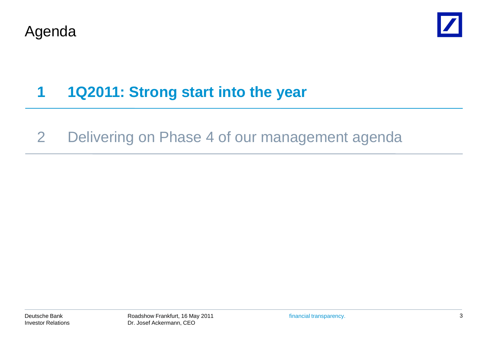



# **1 1Q2011: Strong start into the year**

### 2 Delivering on Phase 4 of our management agenda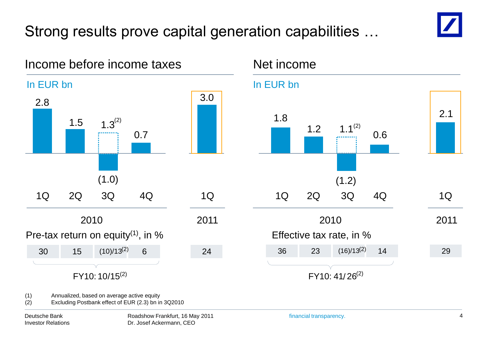# Strong results prove capital generation capabilities …

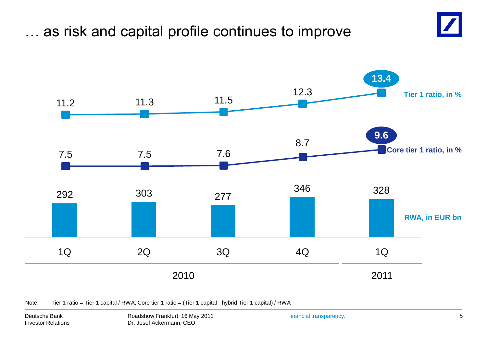## … as risk and capital profile continues to improve





Note: Tier 1 ratio = Tier 1 capital / RWA; Core tier 1 ratio = (Tier 1 capital - hybrid Tier 1 capital) / RWA

Deutsche Bank Investor Relations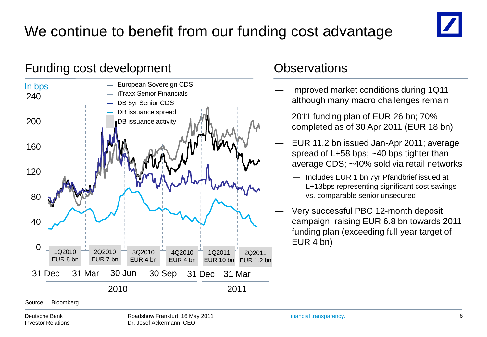# We continue to benefit from our funding cost advantage



#### Funding cost development Controller Controller Controller Controller Controller Controller Controller Controller



- Improved market conditions during 1Q11 although many macro challenges remain
- 2011 funding plan of EUR 26 bn; 70% completed as of 30 Apr 2011 (EUR 18 bn)
- EUR 11.2 bn issued Jan-Apr 2011; average spread of L+58 bps; ~40 bps tighter than average CDS; ~40% sold via retail networks
	- Includes EUR 1 bn 7yr Pfandbrief issued at L+13bps representing significant cost savings vs. comparable senior unsecured
- Very successful PBC 12-month deposit campaign, raising EUR 6.8 bn towards 2011 funding plan (exceeding full year target of EUR 4 bn)

Source: Bloomberg

Deutsche Bank Investor Relations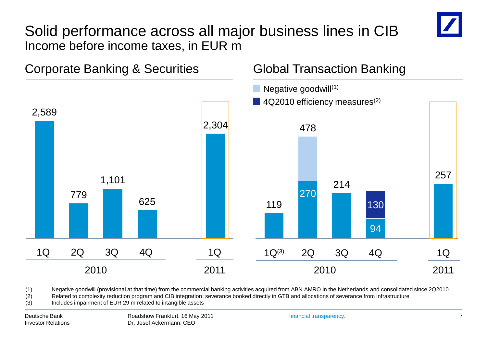### Solid performance across all major business lines in CIB Income before income taxes, in EUR m



(1) Negative goodwill (provisional at that time) from the commercial banking activities acquired from ABN AMRO in the Netherlands and consolidated since 2Q2010

(2) Related to complexity reduction program and CIB integration; severance booked directly in GTB and allocations of severance from infrastructure

(3) Includes impairment of EUR 29 m related to intangible assets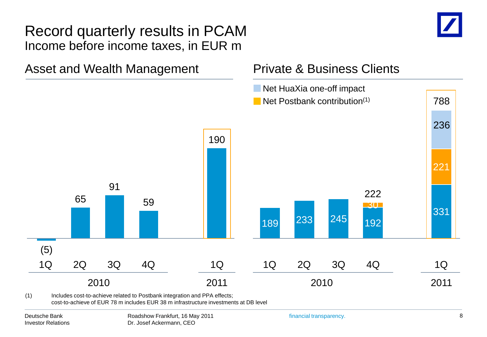#### Record quarterly results in PCAM Income before income taxes, in EUR m





(1) Includes cost-to-achieve related to Postbank integration and PPA effects; cost-to-achieve of EUR 78 m includes EUR 38 m infrastructure investments at DB level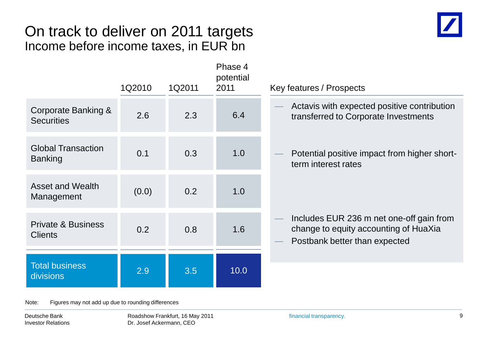### On track to deliver on 2011 targets Income before income taxes, in EUR bn



|                                                 | 1Q2010 | 1Q2011 | Phase 4<br>potential<br>2011 | Key features / Prospects                                                                                           |
|-------------------------------------------------|--------|--------|------------------------------|--------------------------------------------------------------------------------------------------------------------|
| Corporate Banking &<br><b>Securities</b>        | 2.6    | 2.3    | 6.4                          | Actavis with expected positive contribution<br>transferred to Corporate Investments                                |
| <b>Global Transaction</b><br><b>Banking</b>     | 0.1    | 0.3    | 1.0                          | Potential positive impact from higher short-<br>term interest rates                                                |
| <b>Asset and Wealth</b><br>Management           | (0.0)  | 0.2    | 1.0                          |                                                                                                                    |
| <b>Private &amp; Business</b><br><b>Clients</b> | 0.2    | 0.8    | 1.6                          | Includes EUR 236 m net one-off gain from<br>change to equity accounting of HuaXia<br>Postbank better than expected |
| <b>Total business</b><br>divisions              | 2.9    | 3.5    | 10.0                         |                                                                                                                    |
|                                                 |        |        |                              |                                                                                                                    |

Note: Figures may not add up due to rounding differences

Deutsche Bank Investor Relations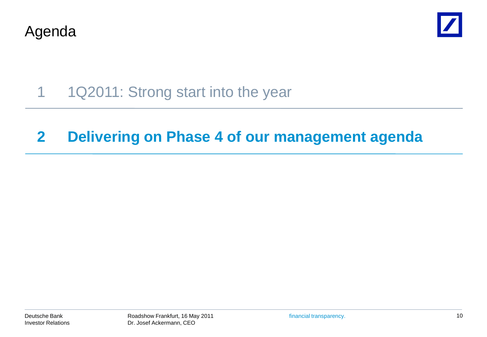Agenda



1 1Q2011: Strong start into the year

### **2 Delivering on Phase 4 of our management agenda**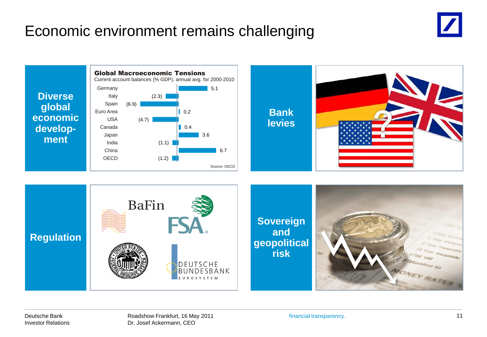## Economic environment remains challenging



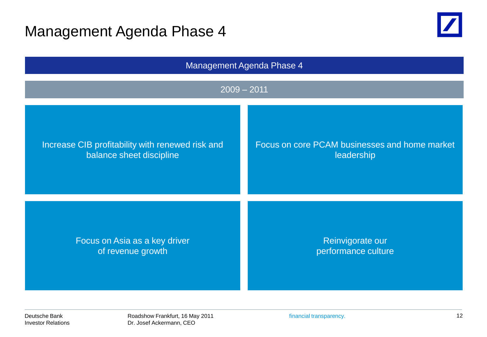### Management Agenda Phase 4





Deutsche Bank Investor Relations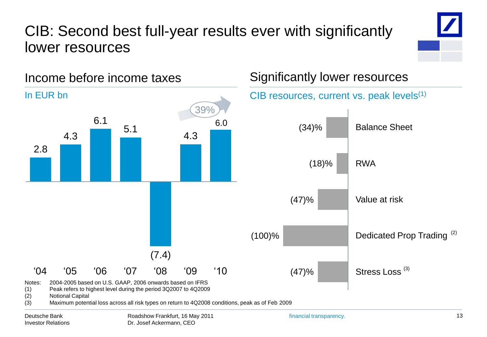## CIB: Second best full-year results ever with significantly lower resources



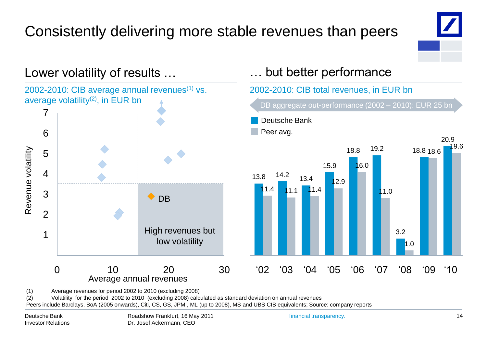# Consistently delivering more stable revenues than peers



20.9

19.6



(1) Average revenues for period 2002 to 2010 (excluding 2008)

(2) Volatility for the period 2002 to 2010 (excluding 2008) calculated as standard deviation on annual revenues

Peers include Barclays, BoA (2005 onwards), Citi, CS, GS, JPM , ML (up to 2008), MS and UBS CIB equivalents; Source: company reports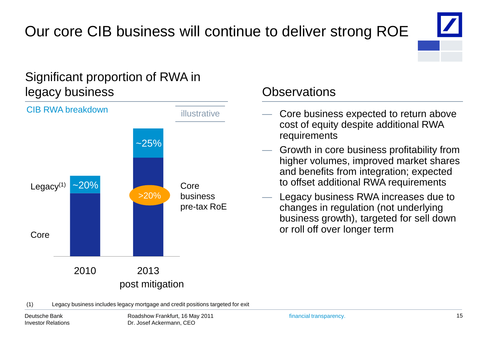# Our core CIB business will continue to deliver strong ROE



#### Significant proportion of RWA in legacy business Observations



- Core business expected to return above cost of equity despite additional RWA requirements
- Growth in core business profitability from higher volumes, improved market shares and benefits from integration; expected to offset additional RWA requirements
- Legacy business RWA increases due to changes in regulation (not underlying business growth), targeted for sell down or roll off over longer term

(1) Legacy business includes legacy mortgage and credit positions targeted for exit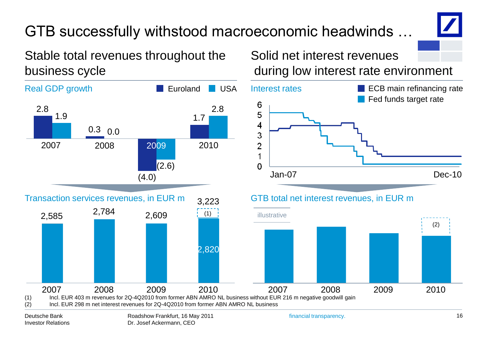# GTB successfully withstood macroeconomic headwinds …



Stable total revenues throughout the business cycle



Investor Relations

Dr. Josef Ackermann, CEO

Solid net interest revenues during low interest rate environment



2007 2008 2009 2010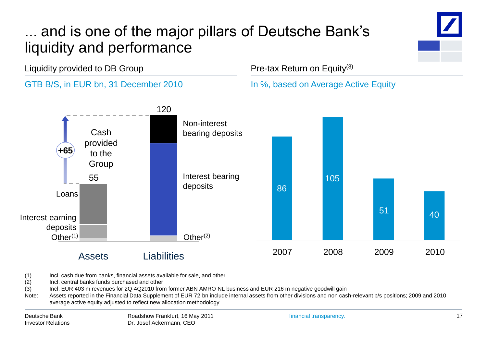# ... and is one of the major pillars of Deutsche Bank's liquidity and performance

Liquidity provided to DB Group

#### GTB B/S, in EUR bn, 31 December 2010

#### Pre-tax Return on Equity(3)

In %, based on Average Active Equity



(1) Incl. cash due from banks, financial assets available for sale, and other

(2) Incl. central banks funds purchased and other

(3) Incl. EUR 403 m revenues for 2Q-4Q2010 from former ABN AMRO NL business and EUR 216 m negative goodwill gain

Note: Assets reported in the Financial Data Supplement of EUR 72 bn include internal assets from other divisions and non cash-relevant b/s positions; 2009 and 2010 average active equity adjusted to reflect new allocation methodology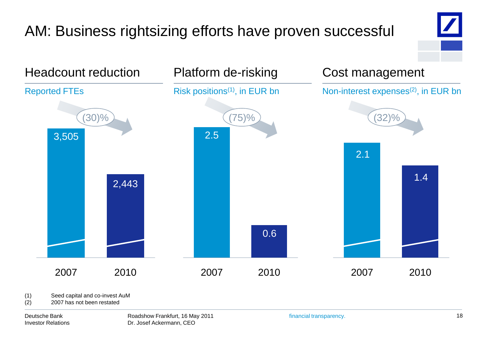# AM: Business rightsizing efforts have proven successful





(1) Seed capital and co-invest AuM

(2) 2007 has not been restated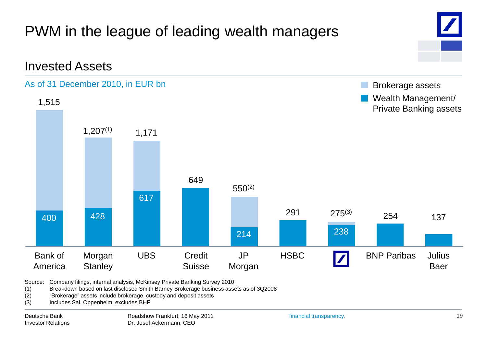

Source: Company filings, internal analysis, McKinsey Private Banking Survey 2010

(1) Breakdown based on last disclosed Smith Barney Brokerage business assets as of 3Q2008

- (2) 
"Brokerage" assets include brokerage, custody and deposit assets
- (3) Includes Sal. Oppenheim, excludes BHF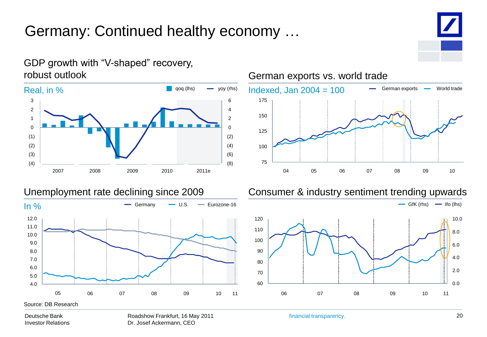# Germany: Continued healthy economy …



#### GDP growth with "V-shaped" recovery, robust outlook



06 07 08 09 10 11



# German exports vs. world trade

150 175

100

125

4.0 5.0 6.0 05 06 07 08 09 10 11

Source: DB Research

Deutsche Bank Investor Relations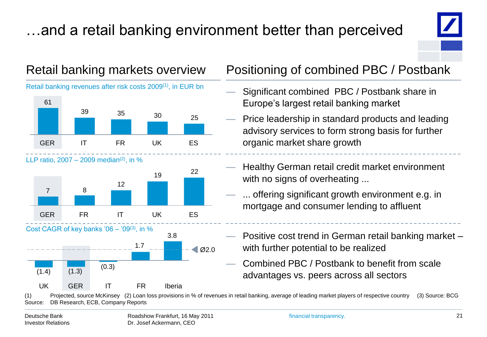# …and a retail banking environment better than perceived



Retail banking revenues after risk costs 2009(1), in EUR bn



LLP ratio,  $2007 - 2009$  median<sup>(2)</sup>, in %







### Retail banking markets overview Positioning of combined PBC / Postbank

- Significant combined PBC / Postbank share in Europe's largest retail banking market
- Price leadership in standard products and leading advisory services to form strong basis for further organic market share growth
- Healthy German retail credit market environment with no signs of overheating ...
- ... offering significant growth environment e.g. in mortgage and consumer lending to affluent
- Positive cost trend in German retail banking market with further potential to be realized
- Combined PBC / Postbank to benefit from scale advantages vs. peers across all sectors

(1) Projected, source McKinsey (2) Loan loss provisions in % of revenues in retail banking, average of leading market players of respective country (3) Source: BCG Source: DB Research, ECB, Company Reports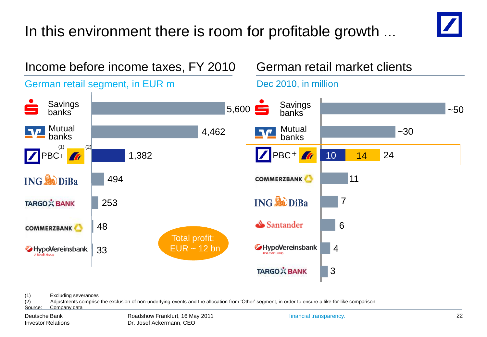# In this environment there is room for profitable growth ...





(1) Excluding severances

(2) Adjustments comprise the exclusion of non-underlying events and the allocation from 'Other' segment, in order to ensure a like-for-like comparison

Source: Company data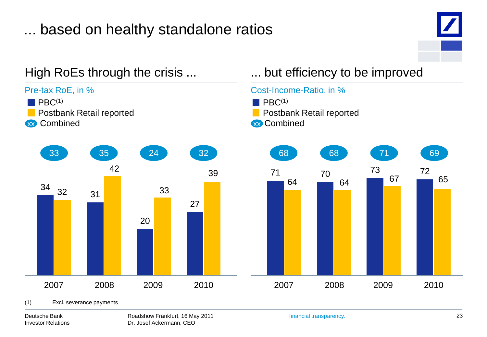# ... based on healthy standalone ratios



#### Deutsche Bank Investor Relations

Roadshow Frankfurt, 16 May 2011 Dr. Josef Ackermann, CEO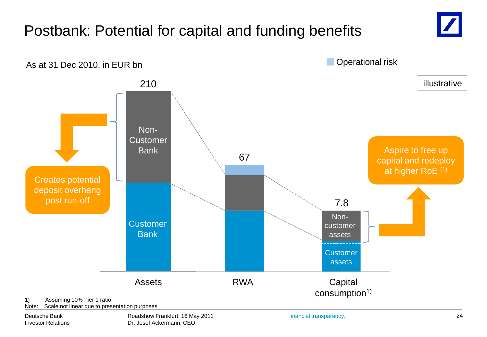#### Assets 210 **Customer Bank** Non-**Customer** Bank Postbank: Potential for capital and funding benefits 1) Assuming 10% Tier 1 ratio **Capital** consumption<sup>1)</sup> RWA **Customer** assets Noncustomer assets As at 31 Dec 2010, in EUR bn 67 7.8 Operational risk Aspire to free up capital and redeploy at higher RoE (1) Creates potential deposit overhang post run-off illustrative

Note: Scale not linear due to presentation purposes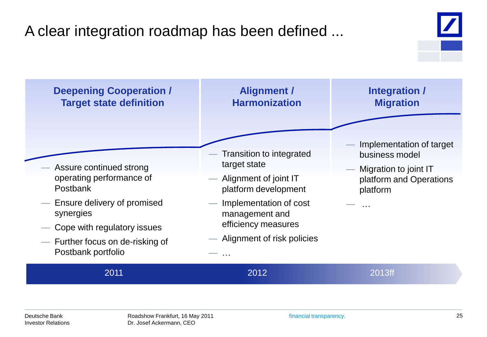# A clear integration roadmap has been defined ...

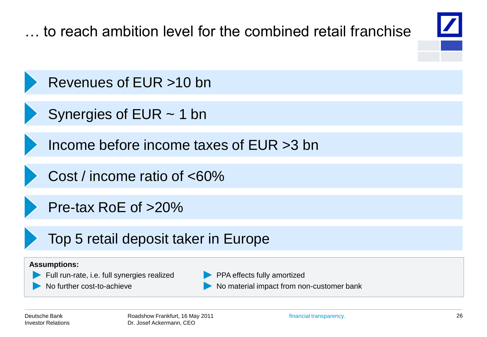**Assumptions:** Full run-rate, i.e. full synergies realized No further cost-to-achieve PPA effects fully amortized No material impact from non-customer bank … to reach ambition level for the combined retail franchise Revenues of EUR >10 bn Income before income taxes of EUR >3 bn Cost / income ratio of <60% Pre-tax RoE of >20% Top 5 retail deposit taker in Europe Synergies of EUR ~ 1 bn

Deutsche Bank Investor Relations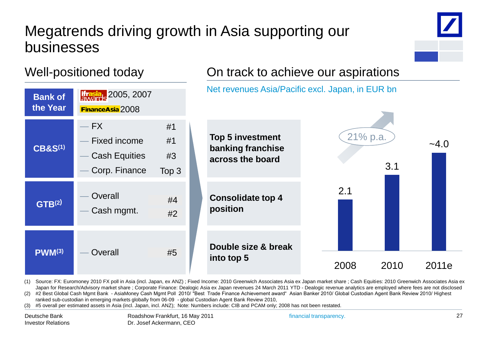## Megatrends driving growth in Asia supporting our businesses



#### Well-positioned today



(1) Source: FX: Euromoney 2010 FX poll in Asia (incl. Japan, ex ANZ) ; Fixed Income: 2010 Greenwich Associates Asia ex Japan market share ; Cash Equities: 2010 Greenwich Associates Asia ex Japan for Research/Advisory market share ; Corporate Finance: Dealogic Asia ex Japan revenues 24 March 2011 YTD - Dealogic revenue analytics are employed where fees are not disclosed

(2) #2 Best Global Cash Mgmt Bank - AsiaMoney Cash Mgmt Poll 2010/ "Best Trade Finance Achievement award" Asian Banker 2010/ Global Custodian Agent Bank Review 2010/ Highest ranked sub-custodian in emerging markets globally from 06-09 - global Custodian Agent Bank Review 2010,

(3) #5 overall per estimated assets in Asia (incl. Japan, incl. ANZ); Note: Numbers include: CIB and PCAM only; 2008 has not been restated.

financial transparency.

On track to achieve our aspirations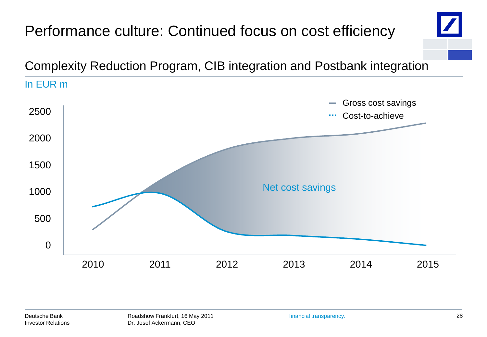### Performance culture: Continued focus on cost efficiency Complexity Reduction Program, CIB integration and Postbank integration In EUR m Gross cost savings **College** 2500 Cost-to-achieve . . . 2000 1500 Net cost savings1000 500 0 2010 2011 2013 2014 2015 2012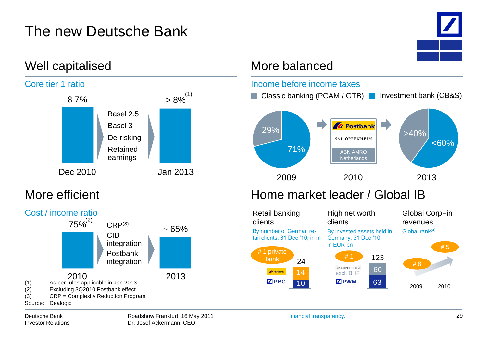# The new Deutsche Bank



Global CorpFin

2009 2010

# 5

revenues

Global rank(4)

# 8



Retail banking

# 1 private

**PBC**

**A** Postbank

By number of German retail clients, 31 Dec '10, in m

clients





#### Deutsche Bank Investor Relations

10 14 24

bank 24  $\frac{123}{ }$ 

excl. BHF

SAL. OPPENHEIM

# 1

**Z** PWM

High net worth

By invested assets held in Germany, 31 Dec '10,

63

60 123

clients

in EUR bn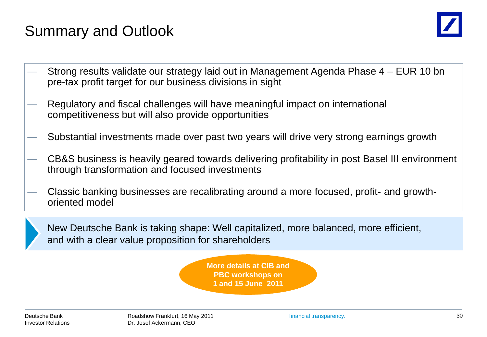# Summary and Outlook



- Strong results validate our strategy laid out in Management Agenda Phase 4 EUR 10 bn pre-tax profit target for our business divisions in sight
- Regulatory and fiscal challenges will have meaningful impact on international competitiveness but will also provide opportunities
- Substantial investments made over past two years will drive very strong earnings growth
- CB&S business is heavily geared towards delivering profitability in post Basel III environment through transformation and focused investments
- Classic banking businesses are recalibrating around a more focused, profit- and growthoriented model



New Deutsche Bank is taking shape: Well capitalized, more balanced, more efficient, and with a clear value proposition for shareholders

> **More details at CIB and PBC workshops on 1 and 15 June 2011**